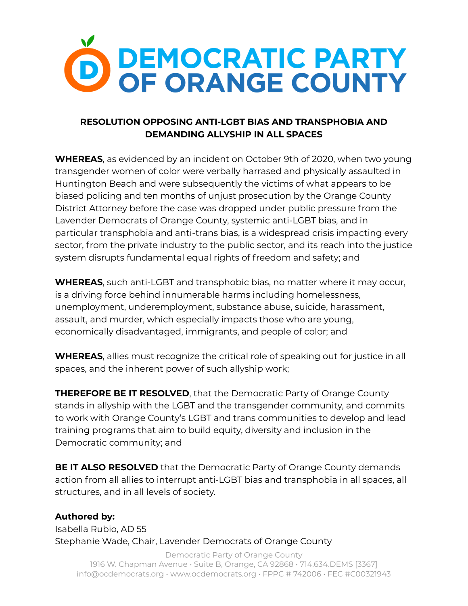

## **RESOLUTION OPPOSING ANTI-LGBT BIAS AND TRANSPHOBIA AND DEMANDING ALLYSHIP IN ALL SPACES**

**WHEREAS**, as evidenced by an incident on October 9th of 2020, when two young transgender women of color were verbally harrased and physically assaulted in Huntington Beach and were subsequently the victims of what appears to be biased policing and ten months of unjust prosecution by the Orange County District Attorney before the case was dropped under public pressure from the Lavender Democrats of Orange County, systemic anti-LGBT bias, and in particular transphobia and anti-trans bias, is a widespread crisis impacting every sector, from the private industry to the public sector, and its reach into the justice system disrupts fundamental equal rights of freedom and safety; and

**WHEREAS**, such anti-LGBT and transphobic bias, no matter where it may occur, is a driving force behind innumerable harms including homelessness, unemployment, underemployment, substance abuse, suicide, harassment, assault, and murder, which especially impacts those who are young, economically disadvantaged, immigrants, and people of color; and

**WHEREAS**, allies must recognize the critical role of speaking out for justice in all spaces, and the inherent power of such allyship work;

**THEREFORE BE IT RESOLVED**, that the Democratic Party of Orange County stands in allyship with the LGBT and the transgender community, and commits to work with Orange County's LGBT and trans communities to develop and lead training programs that aim to build equity, diversity and inclusion in the Democratic community; and

**BE IT ALSO RESOLVED** that the Democratic Party of Orange County demands action from all allies to interrupt anti-LGBT bias and transphobia in all spaces, all structures, and in all levels of society.

## **Authored by:**

Isabella Rubio, AD 55 Stephanie Wade, Chair, Lavender Democrats of Orange County

Democratic Party of Orange County 1916 W. Chapman Avenue • Suite B, Orange, CA 92868 • 714.634.DEMS [3367] info@ocdemocrats.org • www.ocdemocrats.org • FPPC # 742006 • FEC #C00321943